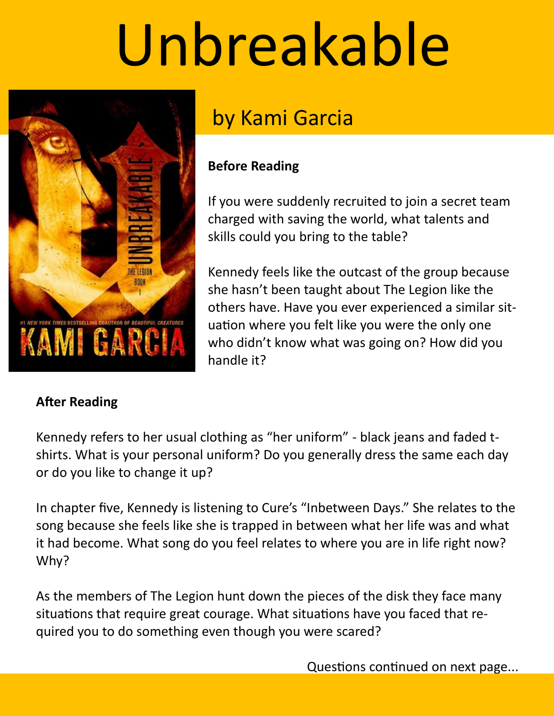# Unbreakable



# by Kami Garcia

## **Before Reading**

If you were suddenly recruited to join a secret team charged with saving the world, what talents and skills could you bring to the table?

Kennedy feels like the outcast of the group because she hasn't been taught about The Legion like the others have. Have you ever experienced a similar situation where you felt like you were the only one who didn't know what was going on? How did you handle it?

# **After Reading**

Kennedy refers to her usual clothing as "her uniform" - black jeans and faded tshirts. What is your personal uniform? Do you generally dress the same each day or do you like to change it up?

In chapter five, Kennedy is listening to Cure's "Inbetween Days." She relates to the song because she feels like she is trapped in between what her life was and what it had become. What song do you feel relates to where you are in life right now? Why?

As the members of The Legion hunt down the pieces of the disk they face many situations that require great courage. What situations have you faced that required you to do something even though you were scared?